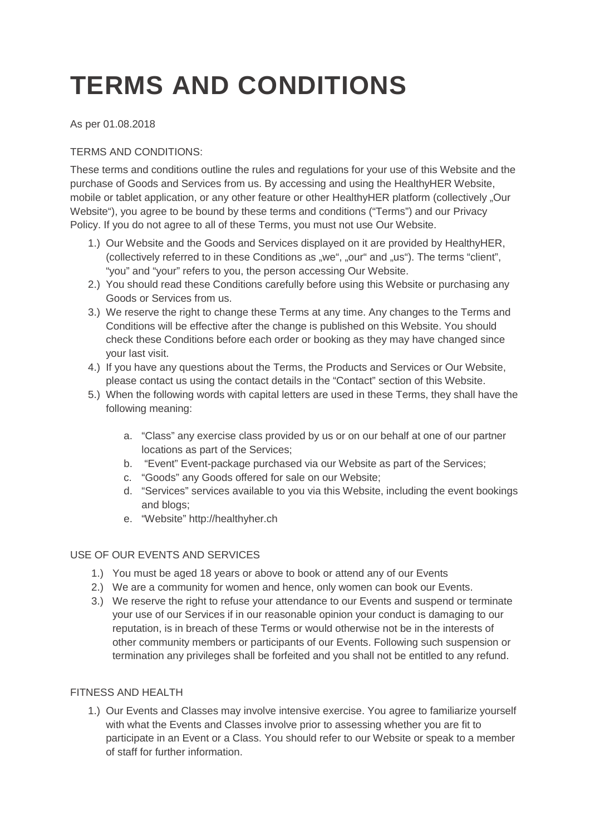# **TERMS AND CONDITIONS**

As per 01.08.2018

## TERMS AND CONDITIONS:

These terms and conditions outline the rules and regulations for your use of this Website and the purchase of Goods and Services from us. By accessing and using the HealthyHER Website, mobile or tablet application, or any other feature or other HealthyHER platform (collectively "Our Website"), you agree to be bound by these terms and conditions ("Terms") and our Privacy Policy. If you do not agree to all of these Terms, you must not use Our Website.

- 1.) Our Website and the Goods and Services displayed on it are provided by HealthyHER, (collectively referred to in these Conditions as "we", "our" and "us"). The terms "client", "you" and "your" refers to you, the person accessing Our Website.
- 2.) You should read these Conditions carefully before using this Website or purchasing any Goods or Services from us.
- 3.) We reserve the right to change these Terms at any time. Any changes to the Terms and Conditions will be effective after the change is published on this Website. You should check these Conditions before each order or booking as they may have changed since your last visit.
- 4.) If you have any questions about the Terms, the Products and Services or Our Website, please contact us using the contact details in the "Contact" section of this Website.
- 5.) When the following words with capital letters are used in these Terms, they shall have the following meaning:
	- a. "Class" any exercise class provided by us or on our behalf at one of our partner locations as part of the Services;
	- b. "Event" Event-package purchased via our Website as part of the Services;
	- c. "Goods" any Goods offered for sale on our Website;
	- d. "Services" services available to you via this Website, including the event bookings and blogs;
	- e. "Website" http://healthyher.ch

## USE OF OUR EVENTS AND SERVICES

- 1.) You must be aged 18 years or above to book or attend any of our Events
- 2.) We are a community for women and hence, only women can book our Events.
- 3.) We reserve the right to refuse your attendance to our Events and suspend or terminate your use of our Services if in our reasonable opinion your conduct is damaging to our reputation, is in breach of these Terms or would otherwise not be in the interests of other community members or participants of our Events. Following such suspension or termination any privileges shall be forfeited and you shall not be entitled to any refund.

## FITNESS AND HEALTH

1.) Our Events and Classes may involve intensive exercise. You agree to familiarize yourself with what the Events and Classes involve prior to assessing whether you are fit to participate in an Event or a Class. You should refer to our Website or speak to a member of staff for further information.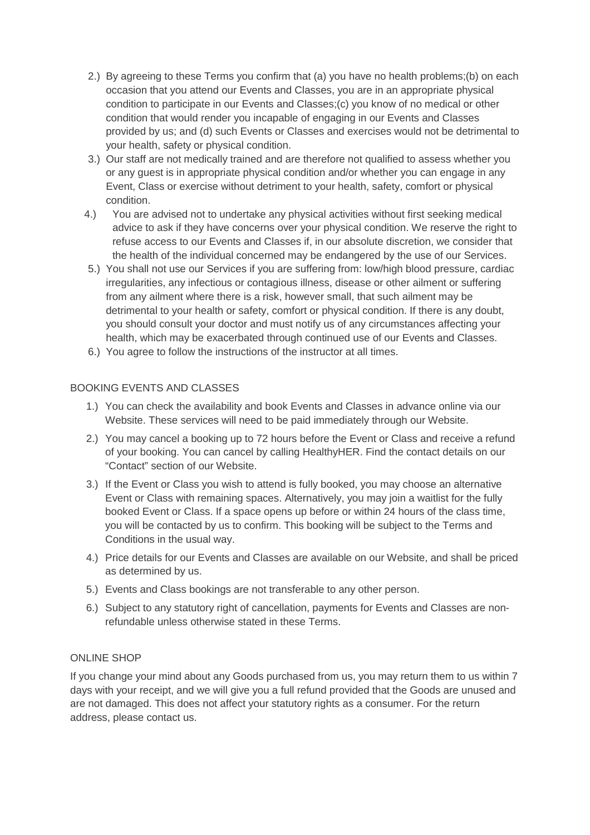- 2.) By agreeing to these Terms you confirm that (a) you have no health problems;(b) on each occasion that you attend our Events and Classes, you are in an appropriate physical condition to participate in our Events and Classes;(c) you know of no medical or other condition that would render you incapable of engaging in our Events and Classes provided by us; and (d) such Events or Classes and exercises would not be detrimental to your health, safety or physical condition.
- 3.) Our staff are not medically trained and are therefore not qualified to assess whether you or any guest is in appropriate physical condition and/or whether you can engage in any Event, Class or exercise without detriment to your health, safety, comfort or physical condition.
- 4.) You are advised not to undertake any physical activities without first seeking medical advice to ask if they have concerns over your physical condition. We reserve the right to refuse access to our Events and Classes if, in our absolute discretion, we consider that the health of the individual concerned may be endangered by the use of our Services.
- 5.) You shall not use our Services if you are suffering from: low/high blood pressure, cardiac irregularities, any infectious or contagious illness, disease or other ailment or suffering from any ailment where there is a risk, however small, that such ailment may be detrimental to your health or safety, comfort or physical condition. If there is any doubt, you should consult your doctor and must notify us of any circumstances affecting your health, which may be exacerbated through continued use of our Events and Classes.
- 6.) You agree to follow the instructions of the instructor at all times.

#### BOOKING EVENTS AND CLASSES

- 1.) You can check the availability and book Events and Classes in advance online via our Website. These services will need to be paid immediately through our Website.
- 2.) You may cancel a booking up to 72 hours before the Event or Class and receive a refund of your booking. You can cancel by calling HealthyHER. Find the contact details on our "Contact" section of our Website.
- 3.) If the Event or Class you wish to attend is fully booked, you may choose an alternative Event or Class with remaining spaces. Alternatively, you may join a waitlist for the fully booked Event or Class. If a space opens up before or within 24 hours of the class time, you will be contacted by us to confirm. This booking will be subject to the Terms and Conditions in the usual way.
- 4.) Price details for our Events and Classes are available on our Website, and shall be priced as determined by us.
- 5.) Events and Class bookings are not transferable to any other person.
- 6.) Subject to any statutory right of cancellation, payments for Events and Classes are nonrefundable unless otherwise stated in these Terms.

#### ONLINE SHOP

If you change your mind about any Goods purchased from us, you may return them to us within 7 days with your receipt, and we will give you a full refund provided that the Goods are unused and are not damaged. This does not affect your statutory rights as a consumer. For the return address, please contact us.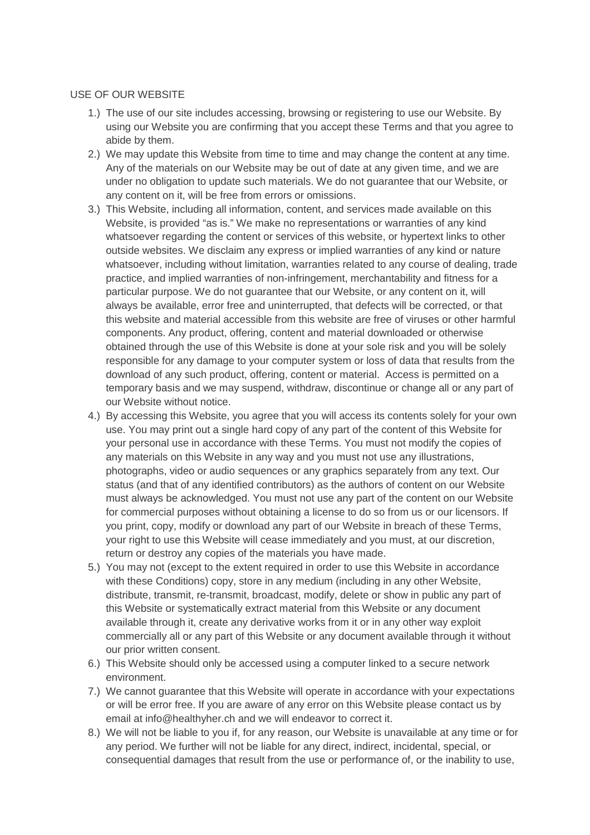#### USE OF OUR WEBSITE

- 1.) The use of our site includes accessing, browsing or registering to use our Website. By using our Website you are confirming that you accept these Terms and that you agree to abide by them.
- 2.) We may update this Website from time to time and may change the content at any time. Any of the materials on our Website may be out of date at any given time, and we are under no obligation to update such materials. We do not guarantee that our Website, or any content on it, will be free from errors or omissions.
- 3.) This Website, including all information, content, and services made available on this Website, is provided "as is." We make no representations or warranties of any kind whatsoever regarding the content or services of this website, or hypertext links to other outside websites. We disclaim any express or implied warranties of any kind or nature whatsoever, including without limitation, warranties related to any course of dealing, trade practice, and implied warranties of non-infringement, merchantability and fitness for a particular purpose. We do not guarantee that our Website, or any content on it, will always be available, error free and uninterrupted, that defects will be corrected, or that this website and material accessible from this website are free of viruses or other harmful components. Any product, offering, content and material downloaded or otherwise obtained through the use of this Website is done at your sole risk and you will be solely responsible for any damage to your computer system or loss of data that results from the download of any such product, offering, content or material. Access is permitted on a temporary basis and we may suspend, withdraw, discontinue or change all or any part of our Website without notice.
- 4.) By accessing this Website, you agree that you will access its contents solely for your own use. You may print out a single hard copy of any part of the content of this Website for your personal use in accordance with these Terms. You must not modify the copies of any materials on this Website in any way and you must not use any illustrations, photographs, video or audio sequences or any graphics separately from any text. Our status (and that of any identified contributors) as the authors of content on our Website must always be acknowledged. You must not use any part of the content on our Website for commercial purposes without obtaining a license to do so from us or our licensors. If you print, copy, modify or download any part of our Website in breach of these Terms, your right to use this Website will cease immediately and you must, at our discretion, return or destroy any copies of the materials you have made.
- 5.) You may not (except to the extent required in order to use this Website in accordance with these Conditions) copy, store in any medium (including in any other Website, distribute, transmit, re-transmit, broadcast, modify, delete or show in public any part of this Website or systematically extract material from this Website or any document available through it, create any derivative works from it or in any other way exploit commercially all or any part of this Website or any document available through it without our prior written consent.
- 6.) This Website should only be accessed using a computer linked to a secure network environment.
- 7.) We cannot guarantee that this Website will operate in accordance with your expectations or will be error free. If you are aware of any error on this Website please contact us by email at info@healthyher.ch and we will endeavor to correct it.
- 8.) We will not be liable to you if, for any reason, our Website is unavailable at any time or for any period. We further will not be liable for any direct, indirect, incidental, special, or consequential damages that result from the use or performance of, or the inability to use,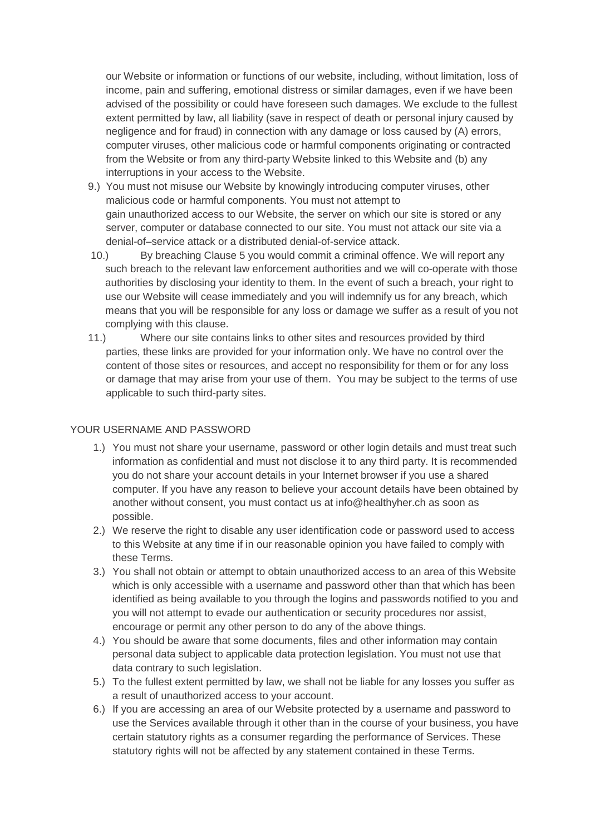our Website or information or functions of our website, including, without limitation, loss of income, pain and suffering, emotional distress or similar damages, even if we have been advised of the possibility or could have foreseen such damages. We exclude to the fullest extent permitted by law, all liability (save in respect of death or personal injury caused by negligence and for fraud) in connection with any damage or loss caused by (A) errors, computer viruses, other malicious code or harmful components originating or contracted from the Website or from any third-party Website linked to this Website and (b) any interruptions in your access to the Website.

- 9.) You must not misuse our Website by knowingly introducing computer viruses, other malicious code or harmful components. You must not attempt to gain unauthorized access to our Website, the server on which our site is stored or any server, computer or database connected to our site. You must not attack our site via a denial-of–service attack or a distributed denial-of-service attack.
- 10.) By breaching Clause 5 you would commit a criminal offence. We will report any such breach to the relevant law enforcement authorities and we will co-operate with those authorities by disclosing your identity to them. In the event of such a breach, your right to use our Website will cease immediately and you will indemnify us for any breach, which means that you will be responsible for any loss or damage we suffer as a result of you not complying with this clause.
- 11.) Where our site contains links to other sites and resources provided by third parties, these links are provided for your information only. We have no control over the content of those sites or resources, and accept no responsibility for them or for any loss or damage that may arise from your use of them. You may be subject to the terms of use applicable to such third-party sites.

## YOUR USERNAME AND PASSWORD

- 1.) You must not share your username, password or other login details and must treat such information as confidential and must not disclose it to any third party. It is recommended you do not share your account details in your Internet browser if you use a shared computer. If you have any reason to believe your account details have been obtained by another without consent, you must contact us at info@healthyher.ch as soon as possible.
- 2.) We reserve the right to disable any user identification code or password used to access to this Website at any time if in our reasonable opinion you have failed to comply with these Terms.
- 3.) You shall not obtain or attempt to obtain unauthorized access to an area of this Website which is only accessible with a username and password other than that which has been identified as being available to you through the logins and passwords notified to you and you will not attempt to evade our authentication or security procedures nor assist, encourage or permit any other person to do any of the above things.
- 4.) You should be aware that some documents, files and other information may contain personal data subject to applicable data protection legislation. You must not use that data contrary to such legislation.
- 5.) To the fullest extent permitted by law, we shall not be liable for any losses you suffer as a result of unauthorized access to your account.
- 6.) If you are accessing an area of our Website protected by a username and password to use the Services available through it other than in the course of your business, you have certain statutory rights as a consumer regarding the performance of Services. These statutory rights will not be affected by any statement contained in these Terms.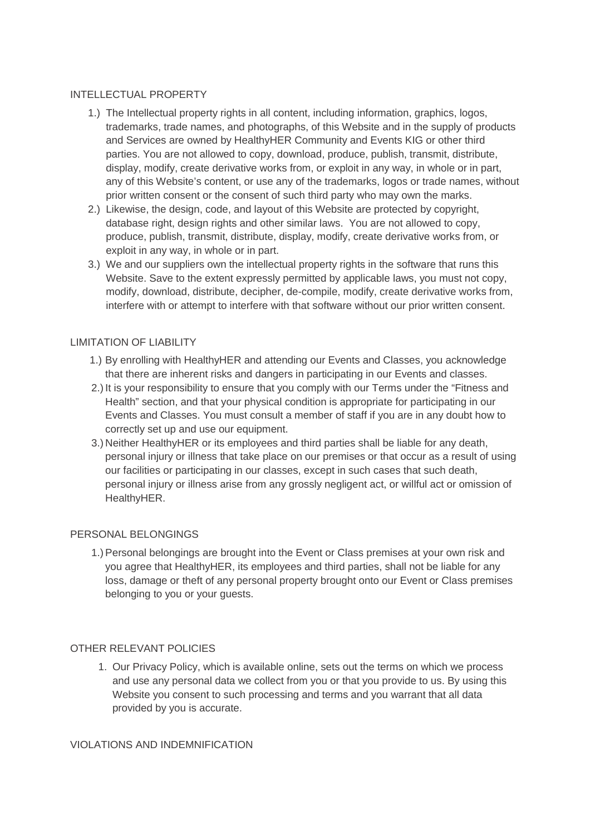#### INTELLECTUAL PROPERTY

- 1.) The Intellectual property rights in all content, including information, graphics, logos, trademarks, trade names, and photographs, of this Website and in the supply of products and Services are owned by HealthyHER Community and Events KIG or other third parties. You are not allowed to copy, download, produce, publish, transmit, distribute, display, modify, create derivative works from, or exploit in any way, in whole or in part, any of this Website's content, or use any of the trademarks, logos or trade names, without prior written consent or the consent of such third party who may own the marks.
- 2.) Likewise, the design, code, and layout of this Website are protected by copyright, database right, design rights and other similar laws. You are not allowed to copy, produce, publish, transmit, distribute, display, modify, create derivative works from, or exploit in any way, in whole or in part.
- 3.) We and our suppliers own the intellectual property rights in the software that runs this Website. Save to the extent expressly permitted by applicable laws, you must not copy, modify, download, distribute, decipher, de-compile, modify, create derivative works from, interfere with or attempt to interfere with that software without our prior written consent.

## LIMITATION OF LIABILITY

- 1.) By enrolling with HealthyHER and attending our Events and Classes, you acknowledge that there are inherent risks and dangers in participating in our Events and classes.
- 2.) It is your responsibility to ensure that you comply with our Terms under the "Fitness and Health" section, and that your physical condition is appropriate for participating in our Events and Classes. You must consult a member of staff if you are in any doubt how to correctly set up and use our equipment.
- 3.) Neither HealthyHER or its employees and third parties shall be liable for any death, personal injury or illness that take place on our premises or that occur as a result of using our facilities or participating in our classes, except in such cases that such death, personal injury or illness arise from any grossly negligent act, or willful act or omission of HealthyHER.

## PERSONAL BELONGINGS

1.) Personal belongings are brought into the Event or Class premises at your own risk and you agree that HealthyHER, its employees and third parties, shall not be liable for any loss, damage or theft of any personal property brought onto our Event or Class premises belonging to you or your guests.

## OTHER RELEVANT POLICIES

1. Our Privacy Policy, which is available online, sets out the terms on which we process and use any personal data we collect from you or that you provide to us. By using this Website you consent to such processing and terms and you warrant that all data provided by you is accurate.

## VIOLATIONS AND INDEMNIFICATION